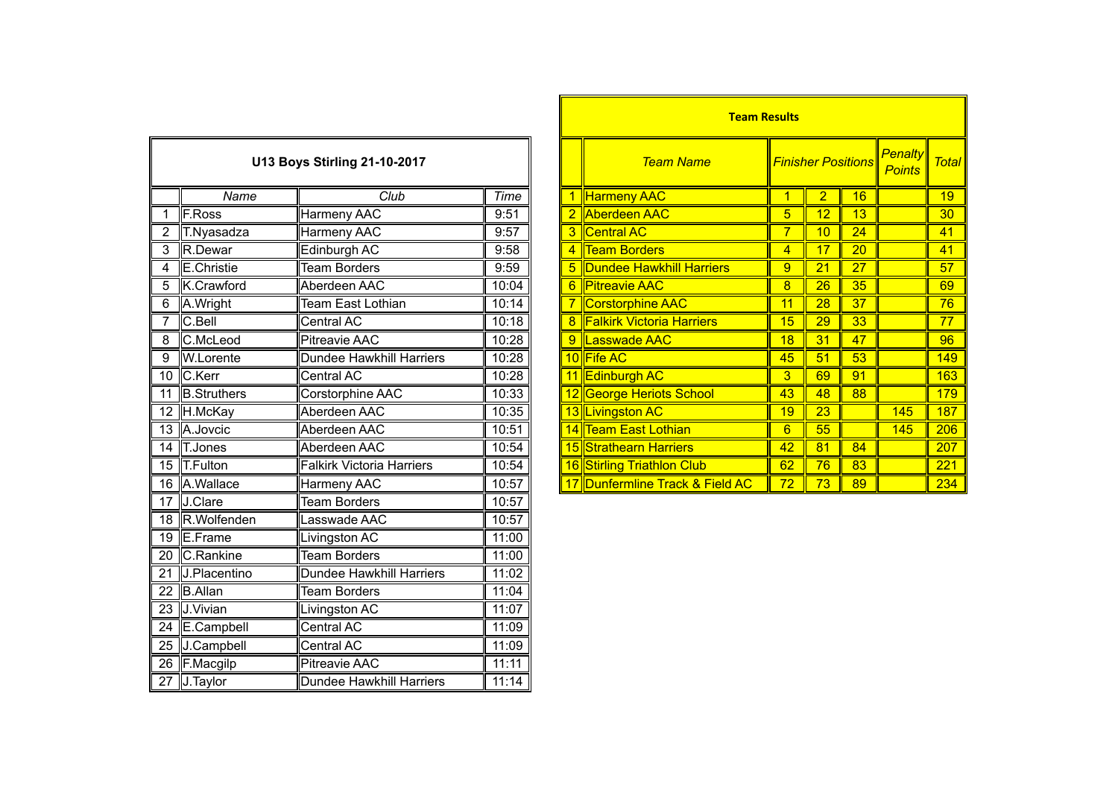|                 | <b>U13 Boys Stirling 21-10-2017</b> |                                  |       |  |  |  |
|-----------------|-------------------------------------|----------------------------------|-------|--|--|--|
|                 | Name<br>$\overline{\text{Club}}$    |                                  |       |  |  |  |
| 1               | F.Ross                              | <b>Harmeny AAC</b>               | 9:51  |  |  |  |
| $\overline{2}$  | T.Nyasadza                          | Harmeny AAC                      | 9:57  |  |  |  |
| 3               | R.Dewar                             | Edinburgh AC                     | 9:58  |  |  |  |
| 4               | E.Christie                          | <b>Team Borders</b>              | 9:59  |  |  |  |
| 5               | K.Crawford                          | Aberdeen AAC                     | 10:04 |  |  |  |
| 6               | A.Wright                            | Team East Lothian                | 10:14 |  |  |  |
| 7               | C.Bell                              | Central AC                       | 10:18 |  |  |  |
| 8               | C.McLeod                            | <b>Pitreavie AAC</b>             | 10:28 |  |  |  |
| 9               | W.Lorente                           | Dundee Hawkhill Harriers         | 10:28 |  |  |  |
| 10              | C.Kerr                              | Central AC                       | 10:28 |  |  |  |
| 11              | <b>B.Struthers</b>                  | Corstorphine AAC                 | 10:33 |  |  |  |
| 12              | H.McKay                             | Aberdeen AAC                     | 10:35 |  |  |  |
| 13              | A.Jovcic                            | Aberdeen AAC                     | 10:51 |  |  |  |
| $\overline{14}$ | T.Jones                             | Aberdeen AAC                     | 10:54 |  |  |  |
| 15              | T.Fulton                            | <b>Falkirk Victoria Harriers</b> | 10:54 |  |  |  |
| $\overline{16}$ | A.Wallace                           | Harmeny AAC                      | 10:57 |  |  |  |
| 17              | J.Clare                             | <b>Team Borders</b>              | 10:57 |  |  |  |
| 18              | R.Wolfenden                         | Lasswade AAC                     | 10:57 |  |  |  |
| $\overline{19}$ | E.Frame                             | Livingston AC                    | 11:00 |  |  |  |
| 20              | C.Rankine                           | <b>Team Borders</b>              | 11:00 |  |  |  |
| $\overline{21}$ | J.Placentino                        | <b>Dundee Hawkhill Harriers</b>  | 11:02 |  |  |  |
| $\overline{22}$ | <b>B.Allan</b>                      | <b>Team Borders</b>              | 11:04 |  |  |  |
| $\overline{23}$ | J.Vivian                            | Livingston AC                    | 11:07 |  |  |  |
| $\overline{24}$ | E.Campbell                          | Central AC                       | 11:09 |  |  |  |
| $\overline{25}$ | J.Campbell                          | <b>Central AC</b>                | 11:09 |  |  |  |
| $\overline{26}$ | F.Macgilp                           | <b>Pitreavie AAC</b>             | 11:11 |  |  |  |
| 27              | J.Taylor                            | Dundee Hawkhill Harriers         | 11:14 |  |  |  |

|                              |                |                                  |       |                |                                  | <u>Fearly Nesults</u>     |    |    |                          |              |  |
|------------------------------|----------------|----------------------------------|-------|----------------|----------------------------------|---------------------------|----|----|--------------------------|--------------|--|
| U13 Boys Stirling 21-10-2017 |                |                                  |       |                | <b>Team Name</b>                 | <b>Finisher Positions</b> |    |    | Penalty<br><b>Points</b> | <b>Total</b> |  |
|                              | Name           | Club                             | Time  |                | <b>Harmeny AAC</b>               |                           | 2  | 16 |                          | 19           |  |
|                              | F.Ross         | Harmeny AAC                      | 9:51  |                | 2 Aberdeen AAC                   | 5                         | 12 | 13 |                          | 30           |  |
|                              | T.Nyasadza     | Harmeny AAC                      | 9:57  |                | 3 Central AC                     | 7                         | 10 | 24 |                          | 41           |  |
| 3                            | R.Dewar        | Edinburgh AC                     | 9:58  | 4              | <b>Team Borders</b>              | $\overline{4}$            | 17 | 20 |                          | 41           |  |
| 4                            | E.Christie     | <b>Team Borders</b>              | 9:59  |                | 5 Dundee Hawkhill Harriers       | 9                         | 21 | 27 |                          | 57           |  |
| 5                            | K.Crawford     | Aberdeen AAC                     | 10:04 |                | 6 Pitreavie AAC                  | 8                         | 26 | 35 |                          | 69           |  |
| 6                            | A.Wright       | Team East Lothian                | 10:14 |                | Corstorphine AAC                 | 11                        | 28 | 37 |                          | 76           |  |
| $\overline{7}$               | $C.$ Bell      | Central AC                       | 10:18 | 8 <sup>°</sup> | <b>Falkirk Victoria Harriers</b> | 15                        | 29 | 33 |                          | 77           |  |
| 8                            | C.McLeod       | <b>Pitreavie AAC</b>             | 10:28 | 9              | Lasswade AAC                     | 18                        | 31 | 47 |                          | 96           |  |
| 9                            | W.Lorente      | Dundee Hawkhill Harriers         | 10:28 |                | 10 Fife AC                       | 45                        | 51 | 53 |                          | 149          |  |
|                              | 10 C.Kerr      | Central AC                       | 10:28 |                | 11 Edinburgh AC                  | 3                         | 69 | 91 |                          | 163          |  |
|                              | 11 B.Struthers | Corstorphine AAC                 | 10:33 |                | 12 George Heriots School         | 43                        | 48 | 88 |                          | 179          |  |
|                              | 12 H.McKay     | Aberdeen AAC                     | 10:35 |                | 13 Livingston AC                 | 19                        | 23 |    | 145                      | 187          |  |
|                              | 13 A.Jovcic    | Aberdeen AAC                     | 10:51 |                | 14 Team East Lothian             | 6                         | 55 |    | 145                      | 206          |  |
|                              | 14 T.Jones     | Aberdeen AAC                     | 10:54 |                | 15 Strathearn Harriers           | 42                        | 81 | 84 |                          | 207          |  |
|                              | 15 T.Fulton    | <b>Falkirk Victoria Harriers</b> | 10:54 |                | 16 Stirling Triathlon Club       | 62                        | 76 | 83 |                          | 221          |  |
|                              | 16 A.Wallace   | Harmeny AAC                      | 10:57 |                | 17 Dunfermline Track & Field AC  | 72                        | 73 | 89 |                          | 234          |  |
|                              |                |                                  |       |                |                                  |                           |    |    |                          |              |  |

**Team Results**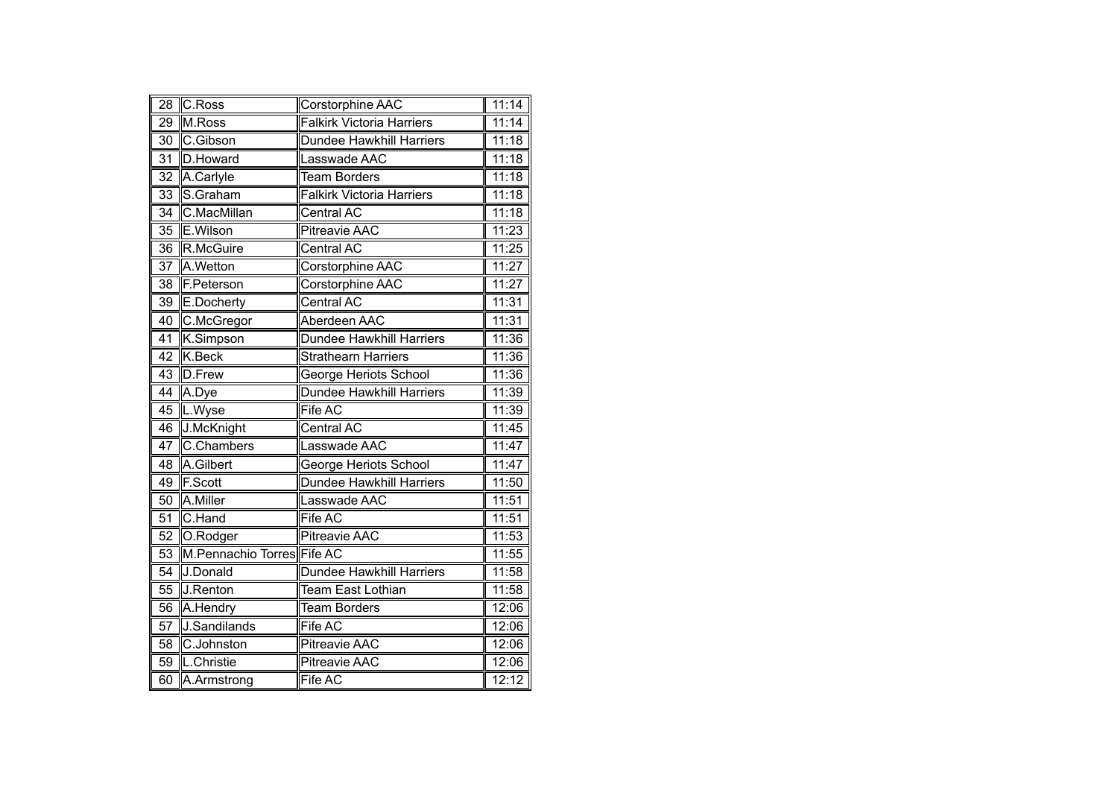| 28              | C.Ross                     | Corstorphine AAC                 | 11:14               |
|-----------------|----------------------------|----------------------------------|---------------------|
| 29              | M.Ross                     | <b>Falkirk Victoria Harriers</b> | 11:14               |
| $\overline{30}$ | C.Gibson                   | <b>Dundee Hawkhill Harriers</b>  | 11:18               |
| $\overline{31}$ | D.Howard                   | asswade AAC                      | 11:18               |
| 32              | A.Carlyle                  | <b>Team Borders</b>              | 11:18               |
| 33              | S.Graham                   | <b>Falkirk Victoria Harriers</b> | 11:18               |
| $\overline{34}$ | C.MacMillan                | <b>Central AC</b>                | 11:18               |
| 35              | E.Wilson                   | <b>Pitreavie AAC</b>             | 11:23               |
| 36              | R.McGuire                  | Central AC                       | 11:25               |
| 37              | A.Wetton                   | Corstorphine AAC                 | 11:27               |
| 38              | F.Peterson                 | Corstorphine AAC                 | 11:27               |
| $\overline{39}$ | E.Docherty                 | <b>Central AC</b>                | 11:31               |
| 40              | C.McGregor                 | Aberdeen AAC                     | 11:31               |
| $\overline{41}$ | K.Simpson                  | <b>Dundee Hawkhill Harriers</b>  | 11:36               |
| $\overline{42}$ | <b>K.Beck</b>              | <b>Strathearn Harriers</b>       | 11:36               |
| 43              | D.Frew                     | George Heriots School            | 11:36               |
| $\overline{44}$ | A.Dye                      | Dundee Hawkhill Harriers         | 11:39               |
| 45              | L.Wyse                     | Fife AC                          | 11:39               |
| 46              | J.McKnight                 | Central AC                       | 11:45               |
| 47              | C.Chambers                 | asswade AAC                      | 11:47               |
| 48              | A.Gilbert                  | George Heriots School            | 11:47               |
| 49              | F.Scott                    | <b>Dundee Hawkhill Harriers</b>  | 11:50               |
| $\overline{50}$ | A.Miller                   | Lasswade AAC                     | 11:51               |
| $\overline{51}$ | C.Hand                     | Fife AC                          | 11:51               |
| 52              | O.Rodger                   | <b>Pitreavie AAC</b>             | 11:53               |
| $\overline{53}$ | M.Pennachio Torres Fife AC |                                  | 11:55               |
| 54              | J.Donald                   | Dundee Hawkhill Harriers         | 11:58               |
| $\overline{55}$ | J.Renton                   | <b>Team East Lothian</b>         | 11:58               |
| $\overline{56}$ | A.Hendry                   | Team Borders                     | $\overline{1}$ 2:06 |
| 57              | J.Sandilands               | Fife AC                          | 12:06               |
| 58              | C.Johnston                 | Pitreavie AAC                    | 12:06               |
| 59              | L.Christie                 | <b>Pitreavie AAC</b>             | 12:06               |
| 60              | A.Armstrong                | Fife AC                          | 12:12               |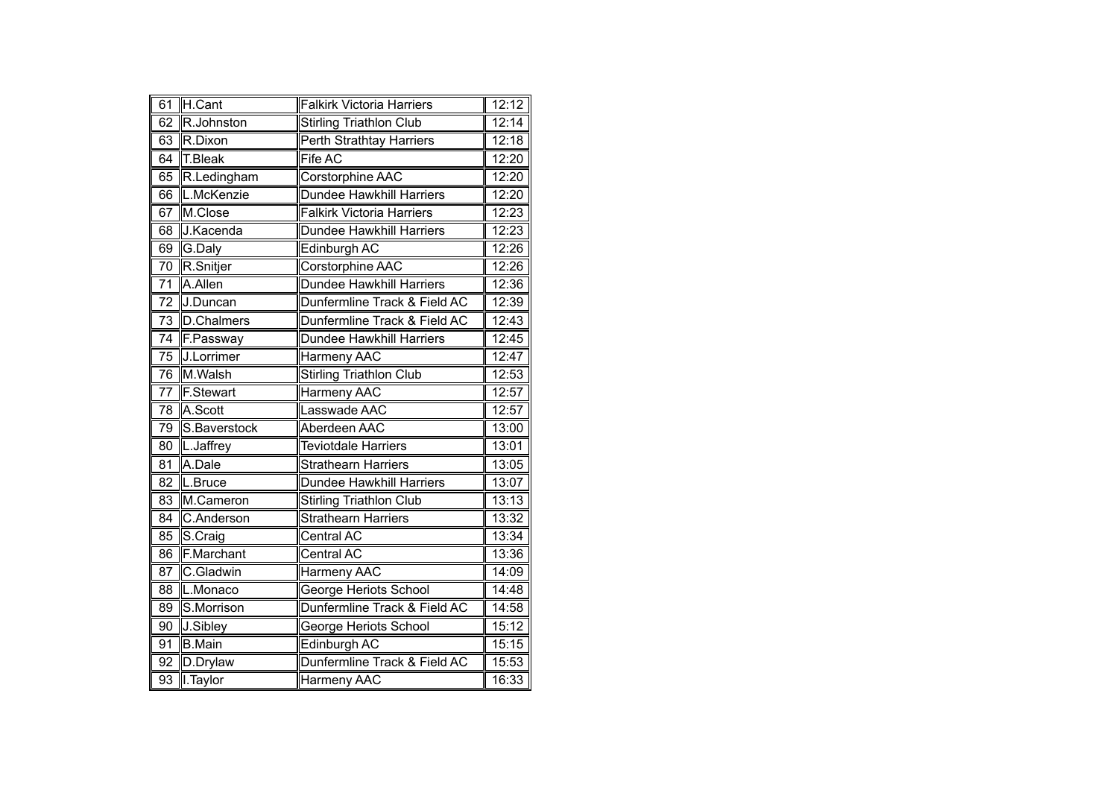| 61              | H.Cant            | <b>Falkirk Victoria Harriers</b> | 12:12              |
|-----------------|-------------------|----------------------------------|--------------------|
| 62              | R.Johnston        | <b>Stirling Triathlon Club</b>   | 12:14              |
| 63              | R.Dixon           | Perth Strathtay Harriers         | 12:18              |
| 64              | T.Bleak           | Fife AC                          | 12:20              |
| 65              | R.Ledingham       | <b>Corstorphine AAC</b>          | 12:20              |
| 66              | L.McKenzie        | <b>Dundee Hawkhill Harriers</b>  | 12:20              |
| 67              | M.Close           | <b>Falkirk Victoria Harriers</b> | 12:23              |
| 68              | J.Kacenda         | <b>Dundee Hawkhill Harriers</b>  | 12:23              |
| 69              | G.Daly            | Edinburgh AC                     | 12:26              |
| 70              | R.Snitjer         | Corstorphine AAC                 | 12:26              |
| $\overline{71}$ | A.Allen           | <b>Dundee Hawkhill Harriers</b>  | 12:36              |
| 72              | J.Duncan          | Dunfermline Track & Field AC     | 12:39              |
| $\overline{73}$ | D.Chalmers        | Dunfermline Track & Field AC     | 12:43              |
| $\overline{74}$ | F.Passway         | <b>Dundee Hawkhill Harriers</b>  | 12:45              |
| $\overline{75}$ | <b>J.Lorrimer</b> | Harmeny AAC                      | 12:47              |
| 76              | M.Walsh           | Stirling Triathlon Club          | 12:53              |
| 77              | F.Stewart         | <b>Harmeny AAC</b>               | 12:57              |
| 78              | A.Scott           | Lasswade AAC                     | 12:57              |
| 79              | S.Baverstock      | Aberdeen AAC                     | 13:00              |
| 80              | L.Jaffrey         | <b>Teviotdale Harriers</b>       | 13:01              |
| 81              | A.Dale            | <b>Strathearn Harriers</b>       | 13:05              |
| $\overline{82}$ | L.Bruce           | <b>Dundee Hawkhill Harriers</b>  | 13:07              |
| 83              | M.Cameron         | <b>Stirling Triathlon Club</b>   | 13:13              |
| 84              | C.Anderson        | <b>Strathearn Harriers</b>       | 13:32              |
| 85              | S.Craig           | <b>Central AC</b>                | 13:34              |
| 86              | F.Marchant        | <b>Central AC</b>                | 13:36              |
| 87              | C.Gladwin         | <b>Harmeny AAC</b>               | 14:09              |
| 88              | L.Monaco          | George Heriots School            | $\overline{14:}48$ |
| 89              | S.Morrison        | Dunfermline Track & Field AC     | 14:58              |
| 90              | J.Sibley          | <b>George Heriots School</b>     | 15:12              |
| 91              | <b>B.Main</b>     | Edinburgh AC                     | 15:15              |
| 92              | D.Drylaw          | Dunfermline Track & Field AC     | 15:53              |
| $\overline{93}$ | I.Taylor          | Harmeny AAC                      | 16:33              |